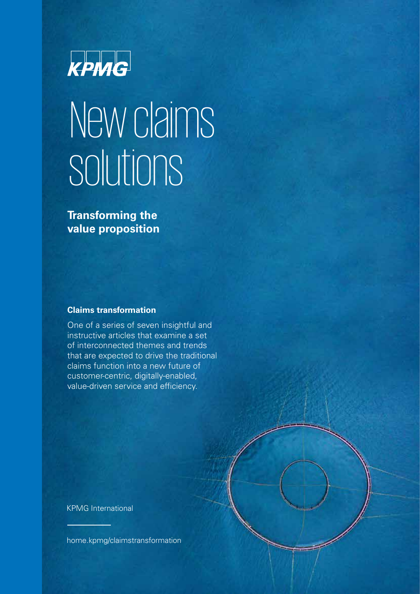

# New claims solutions

**Transforming the value proposition**

#### **Claims transformation**

One of a series of seven insightful and instructive articles that examine a set of interconnected themes and trends that are expected to drive the traditional claims function into a new future of customer-centric, digitally-enabled, value-driven service and efficiency.

KPMG International

[home.kpmg/claimstransformation](http://home.kpmg/claimstransformation)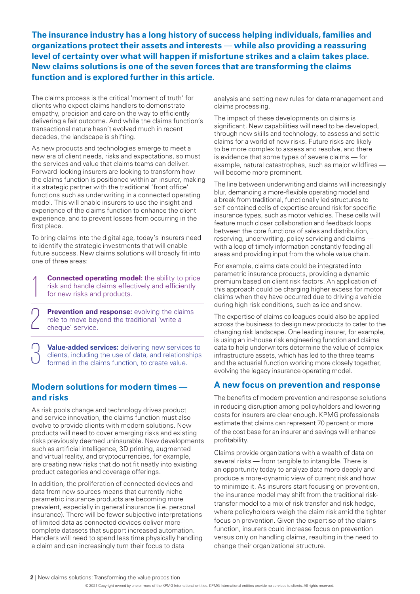**The insurance industry has a long history of success helping individuals, families and organizations protect their assets and interests** — **while also providing a reassuring level of certainty over what will happen if misfortune strikes and a claim takes place. New claims solutions is one of the seven forces that are transforming the claims function and is explored further in this article.**

The claims process is the critical 'moment of truth' for clients who expect claims handlers to demonstrate empathy, precision and care on the way to efficiently delivering a fair outcome. And while the claims function's transactional nature hasn't evolved much in recent decades, the landscape is shifting.

As new products and technologies emerge to meet a new era of client needs, risks and expectations, so must the services and value that claims teams can deliver. Forward-looking insurers are looking to transform how the claims function is positioned within an insurer, making it a strategic partner with the traditional 'front office' functions such as underwriting in a connected operating model. This will enable insurers to use the insight and experience of the claims function to enhance the client experience, and to prevent losses from occurring in the first place.

To bring claims into the digital age, today's insurers need to identify the strategic investments that will enable future success. New claims solutions will broadly fit into one of three areas:

**Connected operating model:** the ability to price risk and handle claims effectively and efficiently for new risks and products.

**Prevention and response:** evolving the claims role to move beyond the traditional 'write a cheque' service.

 $\bigcap$ 

\_<br>ე

**Value-added services:** delivering new services to clients, including the use of data, and relationships formed in the claims function, to create value.

### **Modern solutions for modern times and risks**

As risk pools change and technology drives product and service innovation, the claims function must also evolve to provide clients with modern solutions. New products will need to cover emerging risks and existing risks previously deemed uninsurable. New developments such as artificial intelligence, 3D printing, augmented and virtual reality, and cryptocurrencies, for example, are creating new risks that do not fit neatly into existing product categories and coverage offerings.

In addition, the proliferation of connected devices and data from new sources means that currently niche parametric insurance products are becoming more prevalent, especially in general insurance (i.e. personal insurance). There will be fewer subjective interpretations of limited data as connected devices deliver morecomplete datasets that support increased automation. Handlers will need to spend less time physically handling a claim and can increasingly turn their focus to data

analysis and setting new rules for data management and claims processing.

The impact of these developments on claims is significant. New capabilities will need to be developed, through new skills and technology, to assess and settle claims for a world of new risks. Future risks are likely to be more complex to assess and resolve, and there is evidence that some types of severe claims — for example, natural catastrophes, such as major wildfires will become more prominent.

The line between underwriting and claims will increasingly blur, demanding a more-flexible operating model and a break from traditional, functionally led structures to self-contained cells of expertise around risk for specific insurance types, such as motor vehicles. These cells will feature much closer collaboration and feedback loops between the core functions of sales and distribution, reserving, underwriting, policy servicing and claims with a loop of timely information constantly feeding all areas and providing input from the whole value chain.

For example, claims data could be integrated into parametric insurance products, providing a dynamic premium based on client risk factors. An application of this approach could be charging higher excess for motor claims when they have occurred due to driving a vehicle during high risk conditions, such as ice and snow.

The expertise of claims colleagues could also be applied across the business to design new products to cater to the changing risk landscape. One leading insurer, for example, is using an in-house risk engineering function and claims data to help underwriters determine the value of complex infrastructure assets, which has led to the three teams and the actuarial function working more closely together, evolving the legacy insurance operating model.

#### **A new focus on prevention and response**

The benefits of modern prevention and response solutions in reducing disruption among policyholders and lowering costs for insurers are clear enough. KPMG professionals estimate that claims can represent 70 percent or more of the cost base for an insurer and savings will enhance profitability.

Claims provide organizations with a wealth of data on several risks — from tangible to [intangible](https://assets.kpmg/content/dam/kpmg/uk/pdf/2020/08/lloyds-intangibles-6-aug-2020-.pdf). There is an opportunity today to analyze data more deeply and produce a more-dynamic view of current risk and how to minimize it. As insurers start focusing on prevention, the insurance model may shift from the traditional risktransfer model to a mix of risk transfer and risk hedge, where policyholders weigh the claim risk amid the tighter focus on prevention. Given the expertise of the claims function, insurers could increase focus on prevention versus only on handling claims, resulting in the need to change their organizational structure.

<sup>© 2021</sup> Copyright owned by one or more of the KPMG International entities. KPMG International entities provide no services to clients. All rights reserved.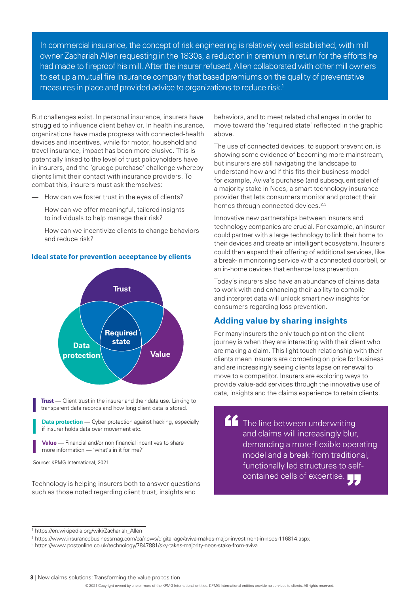In commercial insurance, the concept of risk engineering is relatively well established, with mill owner Zachariah Allen requesting in the 1830s, a reduction in premium in return for the efforts he had made to fireproof his mill. After the insurer refused, Allen collaborated with other mill owners to set up a mutual fire insurance company that based premiums on the quality of preventative measures in place and provided advice to organizations to reduce risk.<sup>1</sup>

But challenges exist. In personal insurance, insurers have struggled to influence client behavior. In health insurance, organizations have made progress with connected-health devices and incentives, while for motor, household and travel insurance, impact has been more elusive. This is potentially linked to the level of trust policyholders have in insurers, and the 'grudge purchase' challenge whereby clients limit their contact with insurance providers. To combat this, insurers must ask themselves:

- How can we foster trust in the eyes of clients?
- How can we offer meaningful, tailored insights to individuals to help manage their risk?
- How can we incentivize clients to change behaviors and reduce risk?



**Ideal state for prevention acceptance by clients**

**Trust** — Client trust in the insurer and their data use. Linking to transparent data records and how long client data is stored.

**Data protection** — Cyber protection against hacking, especially if insurer holds data over movement etc.

**Value** — Financial and/or non financial incentives to share more information — 'what's in it for me?'

Source: KPMG International, 2021.

Technology is helping insurers both to answer questions such as those noted regarding client trust, insights and

behaviors, and to meet related challenges in order to move toward the 'required state' reflected in the graphic above.

The use of connected devices, to support prevention, is showing some evidence of becoming more mainstream, but insurers are still navigating the landscape to understand how and if this fits their business model for example, Aviva's purchase (and subsequent sale) of a majority stake in Neos, a smart technology insurance provider that lets consumers monitor and protect their homes through connected devices.<sup>2,3</sup>

Innovative new partnerships between insurers and technology companies are crucial. For example, an insurer could partner with a large technology to link their home to their devices and create an intelligent ecosystem. Insurers could then expand their offering of additional services, like a break-in monitoring service with a connected doorbell, or an in-home devices that enhance loss prevention.

Today's insurers also have an abundance of claims data to work with and enhancing their ability to compile and interpret data will unlock smart new insights for consumers regarding loss prevention.

### **Adding value by sharing insights**

For many insurers the only touch point on the client journey is when they are interacting with their client who are making a claim. This light touch relationship with their clients mean insurers are competing on price for business and are increasingly seeing clients lapse on renewal to move to a competitor. Insurers are exploring ways to provide value-add services through the innovative use of data, insights and the claims experience to retain clients.

The line between underwriting and claims will increasingly blur, demanding a more-flexible operating model and a break from traditional, functionally led structures to selfcontained cells of expertise.

**3** | New claims solutions: Transforming the value proposition

<sup>1</sup> [https://en.wikipedia.org/wiki/Zachariah\\_Allen](https://en.wikipedia.org/wiki/Zachariah_Allen) 

<sup>2</sup> <https://www.insurancebusinessmag.com/ca/news/digital-age/aviva-makes-major-investment-in-neos-116814.aspx>

<sup>3</sup> <https://www.postonline.co.uk/technology/7847881/sky-takes-majority-neos-stake-from-aviva>

<sup>© 2021</sup> Copyright owned by one or more of the KPMG International entities. KPMG International entities provide no services to clients. All rights reserved.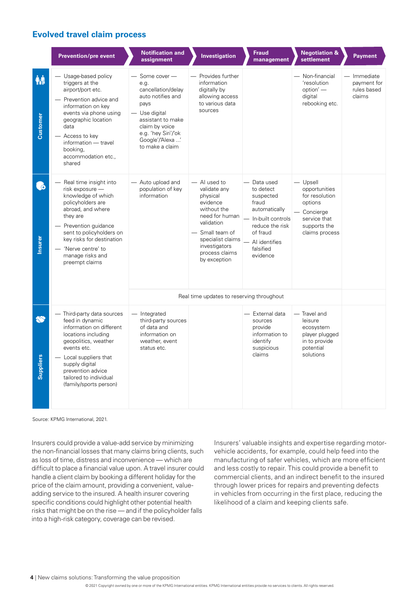## **Evolved travel claim process**

|                        | <b>Prevention/pre event</b>                                                                                                                                                                                                                                      | <b>Notification and</b><br>assignment                                                                                                                                                       | Investigation                                                                                                                                                                                  | <b>Fraud</b><br>management                                                                                                                                        | <b>Negotiation &amp;</b><br>settlement                                                                                  | <b>Payment</b>                                      |
|------------------------|------------------------------------------------------------------------------------------------------------------------------------------------------------------------------------------------------------------------------------------------------------------|---------------------------------------------------------------------------------------------------------------------------------------------------------------------------------------------|------------------------------------------------------------------------------------------------------------------------------------------------------------------------------------------------|-------------------------------------------------------------------------------------------------------------------------------------------------------------------|-------------------------------------------------------------------------------------------------------------------------|-----------------------------------------------------|
| ₩İ<br>Customer         | Usage-based policy<br>triggers at the<br>airport/port etc.<br>Prevention advice and<br>information on key<br>events via phone using<br>geographic location<br>data<br>Access to key<br>information - travel<br>booking,<br>accommodation etc.,<br>shared         | Some cover -<br>e.g.<br>cancellation/delay<br>auto notifies and<br>pays<br>Use digital<br>assistant to make<br>claim by voice<br>e.g. 'hey Siri'/'ok<br>Google'/'Alexa '<br>to make a claim | Provides further<br>information<br>digitally by<br>allowing access<br>to various data<br>sources                                                                                               |                                                                                                                                                                   | Non-financial<br>'resolution<br>option' -<br>digital<br>rebooking etc.                                                  | - Immediate<br>payment for<br>rules based<br>claims |
| $\bigoplus$<br>Insurer | Real time insight into<br>risk exposure -<br>knowledge of which<br>policyholders are<br>abroad, and where<br>they are<br>Prevention guidance<br>sent to policyholders on<br>key risks for destination<br>'Nerve centre' to<br>manage risks and<br>preempt claims | — Auto upload and<br>population of key<br>information                                                                                                                                       | - Al used to<br>validate any<br>physical<br>evidence<br>without the<br>need for human<br>validation<br>- Small team of<br>specialist claims<br>investigators<br>process claims<br>by exception | — Data used<br>to detect<br>suspected<br>fraud<br>automatically<br>- In-built controls<br>reduce the risk<br>of fraud<br>- Al identifies<br>falsified<br>evidence | $-$ Upsell<br>opportunities<br>for resolution<br>options<br>Concierge<br>service that<br>supports the<br>claims process |                                                     |
|                        |                                                                                                                                                                                                                                                                  | Real time updates to reserving throughout                                                                                                                                                   |                                                                                                                                                                                                |                                                                                                                                                                   |                                                                                                                         |                                                     |
| Suppliers              | - Third-party data sources<br>feed in dynamic<br>information on different<br>locations including<br>geopolitics, weather<br>events etc.<br>Local suppliers that<br>supply digital<br>prevention advice<br>tailored to individual<br>(family/sports person)       | - Integrated<br>third-party sources<br>of data and<br>information on<br>weather, event<br>status etc.                                                                                       |                                                                                                                                                                                                | - External data<br>sources<br>provide<br>information to<br>identify<br>suspicious<br>claims                                                                       | - Travel and<br>leisure<br>ecosystem<br>player plugged<br>in to provide<br>potential<br>solutions                       |                                                     |

Source: KPMG International, 2021.

Insurers could provide a value-add service by minimizing the non-financial losses that many claims bring clients, such as loss of time, distress and inconvenience — which are difficult to place a financial value upon. A travel insurer could handle a client claim by booking a different holiday for the price of the claim amount, providing a convenient, valueadding service to the insured. A health insurer covering specific conditions could highlight other potential health risks that might be on the rise — and if the policyholder falls into a high-risk category, coverage can be revised.

Insurers' valuable insights and expertise regarding motorvehicle accidents, for example, could help feed into the manufacturing of safer vehicles, which are more efficient and less costly to repair. This could provide a benefit to commercial clients, and an indirect benefit to the insured through lower prices for repairs and preventing defects in vehicles from occurring in the first place, reducing the likelihood of a claim and keeping clients safe.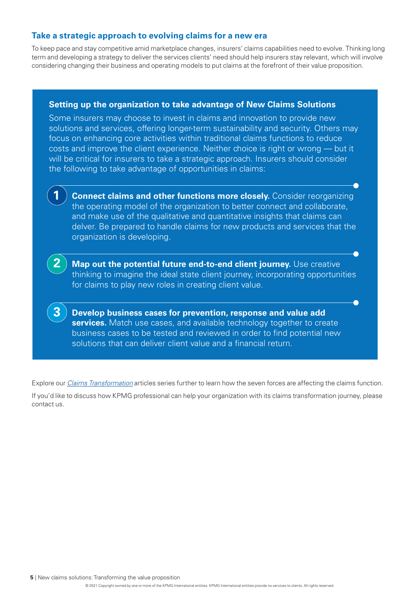# **Take a strategic approach to evolving claims for a new era**

To keep pace and stay competitive amid marketplace changes, insurers' claims capabilities need to evolve. Thinking long term and developing a strategy to deliver the services clients' need should help insurers stay relevant, which will involve considering changing their business and operating models to put claims at the forefront of their value proposition.

#### **Setting up the organization to take advantage of New Claims Solutions**

Some insurers may choose to invest in claims and innovation to provide new solutions and services, offering longer-term sustainability and security. Others may focus on enhancing core activities within traditional claims functions to reduce costs and improve the client experience. Neither choice is right or wrong — but it will be critical for insurers to take a strategic approach. Insurers should consider the following to take advantage of opportunities in claims:



**Connect claims and other functions more closely.** Consider reorganizing the operating model of the organization to better connect and collaborate, and make use of the qualitative and quantitative insights that claims can delver. Be prepared to handle claims for new products and services that the organization is developing.



**3**

**Map out the potential future end-to-end client journey.** Use creative thinking to imagine the ideal state client journey, incorporating opportunities for claims to play new roles in creating client value.

**Develop business cases for prevention, response and value add services.** Match use cases, and available technology together to create business cases to be tested and reviewed in order to find potential new solutions that can deliver client value and a financial return.

Explore our *[Claims Transformation](https://home.kpmg/xx/en/home/insights/2021/08/claims-transformation.html)* articles series further to learn how the seven forces are affecting the claims function. If you'd like to discuss how KPMG professional can help your organization with its claims transformation journey, please contact us.